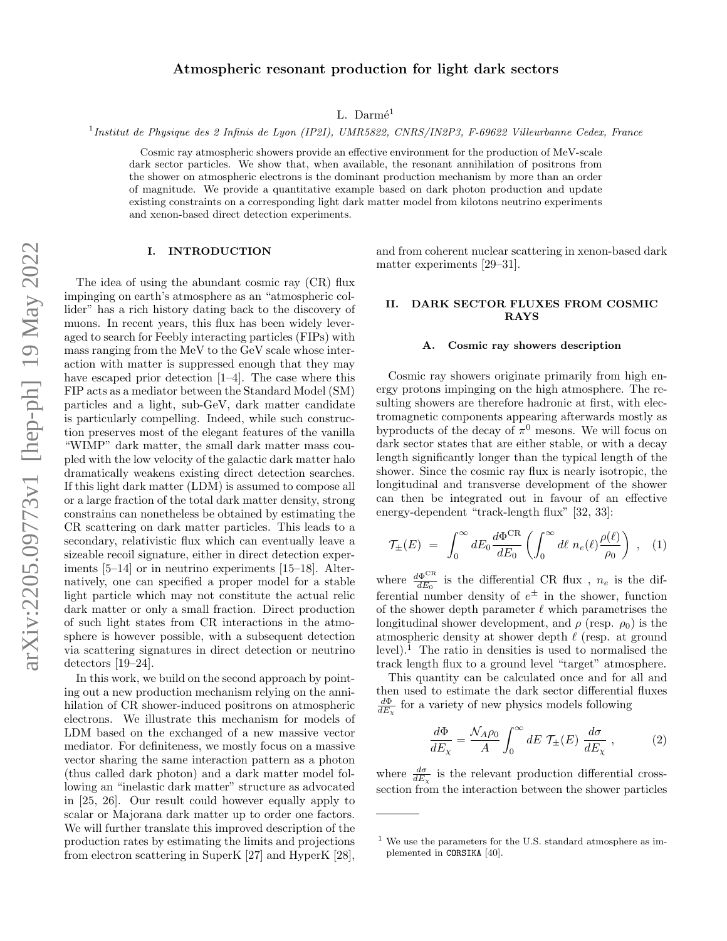# Atmospheric resonant production for light dark sectors

L. Darmé<sup>1</sup>

1 Institut de Physique des 2 Infinis de Lyon (IP2I), UMR5822, CNRS/IN2P3, F-69622 Villeurbanne Cedex, France

Cosmic ray atmospheric showers provide an effective environment for the production of MeV-scale dark sector particles. We show that, when available, the resonant annihilation of positrons from the shower on atmospheric electrons is the dominant production mechanism by more than an order of magnitude. We provide a quantitative example based on dark photon production and update existing constraints on a corresponding light dark matter model from kilotons neutrino experiments and xenon-based direct detection experiments.

### I. INTRODUCTION

The idea of using the abundant cosmic ray (CR) flux impinging on earth's atmosphere as an "atmospheric collider" has a rich history dating back to the discovery of muons. In recent years, this flux has been widely leveraged to search for Feebly interacting particles (FIPs) with mass ranging from the MeV to the GeV scale whose interaction with matter is suppressed enough that they may have escaped prior detection  $[1-4]$  $[1-4]$ . The case where this FIP acts as a mediator between the Standard Model (SM) particles and a light, sub-GeV, dark matter candidate is particularly compelling. Indeed, while such construction preserves most of the elegant features of the vanilla "WIMP" dark matter, the small dark matter mass coupled with the low velocity of the galactic dark matter halo dramatically weakens existing direct detection searches. If this light dark matter (LDM) is assumed to compose all or a large fraction of the total dark matter density, strong constrains can nonetheless be obtained by estimating the CR scattering on dark matter particles. This leads to a secondary, relativistic flux which can eventually leave a sizeable recoil signature, either in direct detection experiments [\[5–](#page-5-2)[14\]](#page-5-3) or in neutrino experiments [\[15–](#page-5-4)[18\]](#page-5-5). Alternatively, one can specified a proper model for a stable light particle which may not constitute the actual relic dark matter or only a small fraction. Direct production of such light states from CR interactions in the atmosphere is however possible, with a subsequent detection via scattering signatures in direct detection or neutrino detectors [\[19](#page-5-6)[–24\]](#page-5-7).

In this work, we build on the second approach by pointing out a new production mechanism relying on the annihilation of CR shower-induced positrons on atmospheric electrons. We illustrate this mechanism for models of LDM based on the exchanged of a new massive vector mediator. For definiteness, we mostly focus on a massive vector sharing the same interaction pattern as a photon (thus called dark photon) and a dark matter model following an "inelastic dark matter" structure as advocated in [\[25,](#page-5-8) [26\]](#page-5-9). Our result could however equally apply to scalar or Majorana dark matter up to order one factors. We will further translate this improved description of the production rates by estimating the limits and projections from electron scattering in SuperK [\[27\]](#page-5-10) and HyperK [\[28\]](#page-5-11),

and from coherent nuclear scattering in xenon-based dark matter experiments [\[29](#page-5-12)[–31\]](#page-5-13).

### II. DARK SECTOR FLUXES FROM COSMIC RAYS

### A. Cosmic ray showers description

Cosmic ray showers originate primarily from high energy protons impinging on the high atmosphere. The resulting showers are therefore hadronic at first, with electromagnetic components appearing afterwards mostly as by products of the decay of  $\pi^0$  mesons. We will focus on dark sector states that are either stable, or with a decay length significantly longer than the typical length of the shower. Since the cosmic ray flux is nearly isotropic, the longitudinal and transverse development of the shower can then be integrated out in favour of an effective energy-dependent "track-length flux" [\[32,](#page-5-14) [33\]](#page-5-15):

$$
\mathcal{T}_{\pm}(E) = \int_0^\infty dE_0 \frac{d\Phi^{\rm CR}}{dE_0} \left( \int_0^\infty d\ell \; n_e(\ell) \frac{\rho(\ell)}{\rho_0} \right) , \quad (1)
$$

where  $\frac{d\Phi^{\text{CR}}}{dE_0}$  $\frac{d\Phi}{dE_0}$  is the differential CR flux,  $n_e$  is the differential number density of  $e^{\pm}$  in the shower, function of the shower depth parameter  $\ell$  which parametrises the longitudinal shower development, and  $\rho$  (resp.  $\rho_0$ ) is the atmospheric density at shower depth  $\ell$  (resp. at ground level).<sup>[1](#page-0-0)</sup> The ratio in densities is used to normalised the track length flux to a ground level "target" atmosphere.

This quantity can be calculated once and for all and then used to estimate the dark sector differential fluxes  $\frac{d\Phi}{dE_\chi}$  for a variety of new physics models following

$$
\frac{d\Phi}{dE_{\chi}} = \frac{\mathcal{N}_{A}\rho_{0}}{A} \int_{0}^{\infty} dE \mathcal{T}_{\pm}(E) \frac{d\sigma}{dE_{\chi}} , \qquad (2)
$$

where  $\frac{d\sigma}{dE_{\chi}}$  is the relevant production differential crosssection from the interaction between the shower particles

<span id="page-0-0"></span> $1$  We use the parameters for the U.S. standard atmosphere as implemented in CORSIKA [\[40\]](#page-6-0).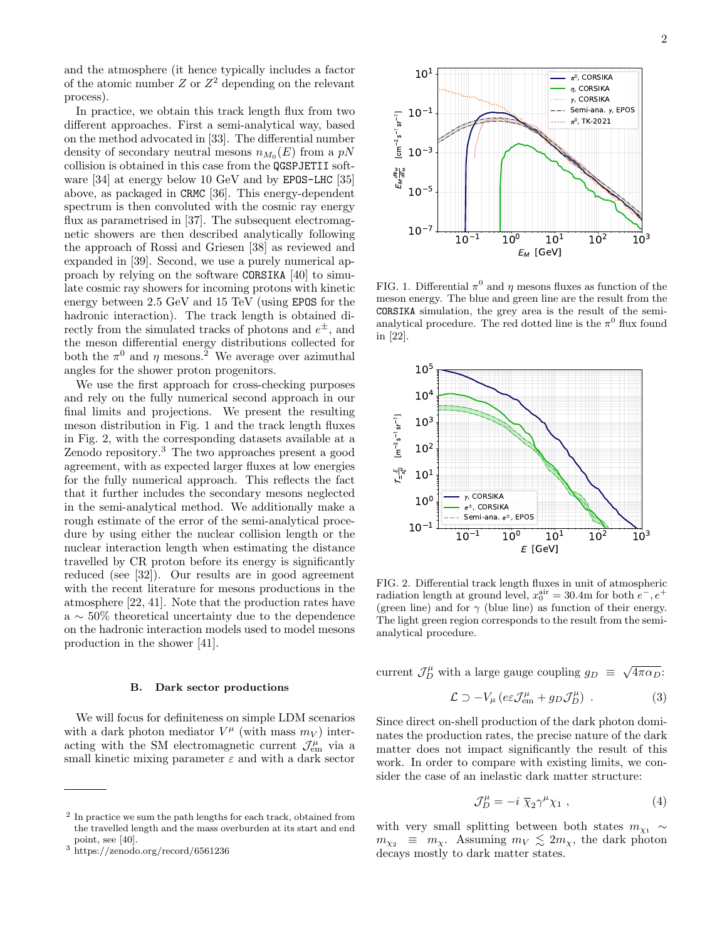and the atmosphere (it hence typically includes a factor of the atomic number  $Z$  or  $Z^2$  depending on the relevant process).

In practice, we obtain this track length flux from two different approaches. First a semi-analytical way, based on the method advocated in [\[33\]](#page-5-15). The differential number density of secondary neutral mesons  $n_{M_0}(E)$  from a  $pN$ collision is obtained in this case from the QGSPJETII software [\[34\]](#page-6-1) at energy below 10 GeV and by EPOS-LHC [\[35\]](#page-6-2) above, as packaged in CRMC [\[36\]](#page-6-3). This energy-dependent spectrum is then convoluted with the cosmic ray energy flux as parametrised in [\[37\]](#page-6-4). The subsequent electromagnetic showers are then described analytically following the approach of Rossi and Griesen [\[38\]](#page-6-5) as reviewed and expanded in [\[39\]](#page-6-6). Second, we use a purely numerical approach by relying on the software CORSIKA [\[40\]](#page-6-0) to simulate cosmic ray showers for incoming protons with kinetic energy between 2.5 GeV and 15 TeV (using EPOS for the hadronic interaction). The track length is obtained directly from the simulated tracks of photons and  $e^{\pm}$ , and the meson differential energy distributions collected for both the  $\pi^0$  and  $\eta$  mesons.<sup>[2](#page-1-0)</sup> We average over azimuthal angles for the shower proton progenitors.

We use the first approach for cross-checking purposes and rely on the fully numerical second approach in our final limits and projections. We present the resulting meson distribution in Fig. [1](#page-1-1) and the track length fluxes in Fig. [2,](#page-1-2) with the corresponding datasets available at a [Zenodo repository.](https://zenodo.org/record/6561236) [3](#page-1-3) The two approaches present a good agreement, with as expected larger fluxes at low energies for the fully numerical approach. This reflects the fact that it further includes the secondary mesons neglected in the semi-analytical method. We additionally make a rough estimate of the error of the semi-analytical procedure by using either the nuclear collision length or the nuclear interaction length when estimating the distance travelled by CR proton before its energy is significantly reduced (see [\[32\]](#page-5-14)). Our results are in good agreement with the recent literature for mesons productions in the atmosphere [\[22,](#page-5-16) [41\]](#page-6-7). Note that the production rates have a ∼ 50% theoretical uncertainty due to the dependence on the hadronic interaction models used to model mesons production in the shower [\[41\]](#page-6-7).

### B. Dark sector productions

We will focus for definiteness on simple LDM scenarios with a dark photon mediator  $V^{\mu}$  (with mass  $m_V$ ) interacting with the SM electromagnetic current  $\mathcal{J}_{em}^{\mu}$  via a small kinetic mixing parameter  $\varepsilon$  and with a dark sector



<span id="page-1-1"></span>FIG. 1. Differential  $\pi^0$  and  $\eta$  mesons fluxes as function of the meson energy. The blue and green line are the result from the CORSIKA simulation, the grey area is the result of the semianalytical procedure. The red dotted line is the  $\pi^0$  flux found in [\[22\]](#page-5-16).



<span id="page-1-2"></span>FIG. 2. Differential track length fluxes in unit of atmospheric radiation length at ground level,  $x_0^{\text{air}} = 30.4$ m for both  $e^-$ ,  $e^+$ (green line) and for  $\gamma$  (blue line) as function of their energy. The light green region corresponds to the result from the semianalytical procedure.

current  $\mathcal{J}_D^{\mu}$  with a large gauge coupling  $g_D \equiv \sqrt{4\pi\alpha_D}$ :

$$
\mathcal{L} \supset -V_{\mu} \left( e \varepsilon \mathcal{J}_{em}^{\mu} + g_D \mathcal{J}_{D}^{\mu} \right) . \tag{3}
$$

Since direct on-shell production of the dark photon dominates the production rates, the precise nature of the dark matter does not impact significantly the result of this work. In order to compare with existing limits, we consider the case of an inelastic dark matter structure:

$$
\mathcal{J}_D^{\mu} = -i \ \overline{\chi}_2 \gamma^{\mu} \chi_1 \ , \tag{4}
$$

with very small splitting between both states  $m_{\chi_1} \sim$  $m_{\chi_2} \equiv m_\chi$ . Assuming  $m_V \lesssim 2m_\chi$ , the dark photon decays mostly to dark matter states.

<span id="page-1-0"></span><sup>&</sup>lt;sup>2</sup> In practice we sum the path lengths for each track, obtained from the travelled length and the mass overburden at its start and end point, see [\[40\]](#page-6-0).

<span id="page-1-3"></span><sup>3</sup> https://zenodo.org/record/6561236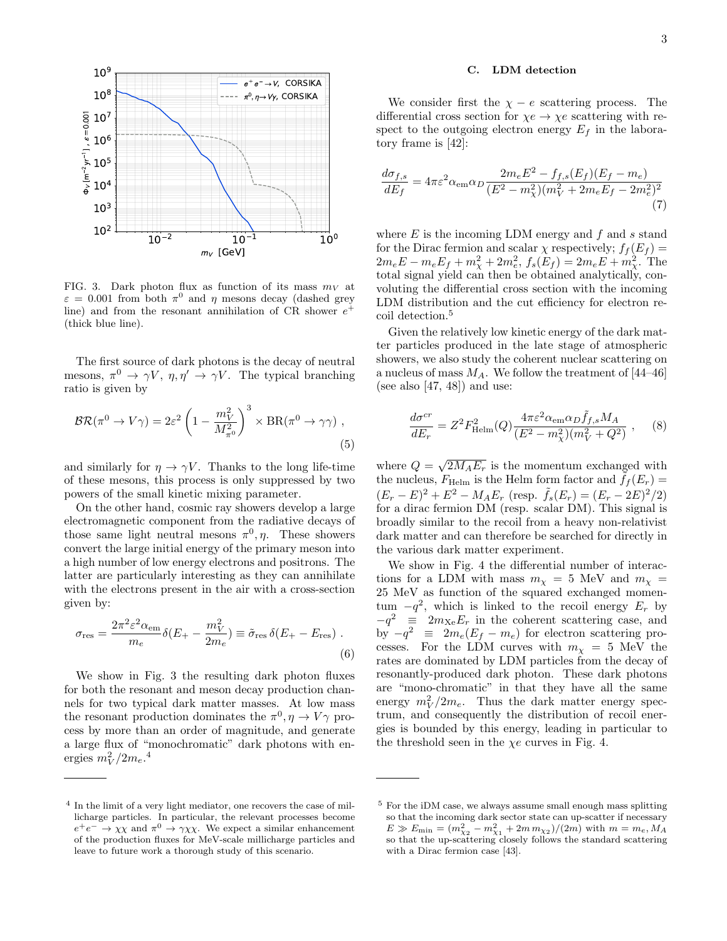

<span id="page-2-0"></span>FIG. 3. Dark photon flux as function of its mass  $m_V$  at  $\varepsilon = 0.001$  from both  $\pi^0$  and  $\eta$  mesons decay (dashed grey line) and from the resonant annihilation of CR shower  $e^+$ (thick blue line).

The first source of dark photons is the decay of neutral mesons,  $\pi^0 \to \gamma V$ ,  $\eta, \eta' \to \gamma V$ . The typical branching ratio is given by

$$
BR(\pi^0 \to V\gamma) = 2\varepsilon^2 \left(1 - \frac{m_V^2}{M_{\pi^0}^2}\right)^3 \times BR(\pi^0 \to \gamma\gamma) ,
$$
\n(5)

and similarly for  $\eta \to \gamma V$ . Thanks to the long life-time of these mesons, this process is only suppressed by two powers of the small kinetic mixing parameter.

On the other hand, cosmic ray showers develop a large electromagnetic component from the radiative decays of those same light neutral mesons  $\pi^0$ ,  $\eta$ . These showers convert the large initial energy of the primary meson into a high number of low energy electrons and positrons. The latter are particularly interesting as they can annihilate with the electrons present in the air with a cross-section given by:

$$
\sigma_{\rm res} = \frac{2\pi^2 \varepsilon^2 \alpha_{\rm em}}{m_e} \delta(E_{+} - \frac{m_V^2}{2m_e}) \equiv \tilde{\sigma}_{\rm res} \,\delta(E_{+} - E_{\rm res}) \;.
$$
\n<sup>(6)</sup>

We show in Fig. [3](#page-2-0) the resulting dark photon fluxes for both the resonant and meson decay production channels for two typical dark matter masses. At low mass the resonant production dominates the  $\pi^0, \eta \to V\gamma$  process by more than an order of magnitude, and generate a large flux of "monochromatic" dark photons with energies  $m_V^2/2m_e$ .<sup>[4](#page-2-1)</sup>

#### C. LDM detection

We consider first the  $\chi - e$  scattering process. The differential cross section for  $\chi e \to \chi e$  scattering with respect to the outgoing electron energy  $E_f$  in the laboratory frame is [\[42\]](#page-6-8):

$$
\frac{d\sigma_{f,s}}{dE_f} = 4\pi\varepsilon^2 \alpha_{\rm em} \alpha_D \frac{2m_e E^2 - f_{f,s}(E_f)(E_f - m_e)}{(E^2 - m_\chi^2)(m_V^2 + 2m_e E_f - 2m_e^2)^2}
$$
\n(7)

where  $E$  is the incoming LDM energy and  $f$  and  $s$  stand for the Dirac fermion and scalar  $\chi$  respectively;  $f_f(E_f)$  =  $2m_e E - m_e E_f + m_\chi^2 + 2m_e^2$ ,  $f_s(E_f) = 2m_e E + m_\chi^2$ . The total signal yield can then be obtained analytically, convoluting the differential cross section with the incoming LDM distribution and the cut efficiency for electron re-coil detection.<sup>[5](#page-2-2)</sup>

Given the relatively low kinetic energy of the dark matter particles produced in the late stage of atmospheric showers, we also study the coherent nuclear scattering on a nucleus of mass  $M_A$ . We follow the treatment of [\[44](#page-6-9)[–46\]](#page-6-10) (see also  $[47, 48]$  $[47, 48]$  $[47, 48]$ ) and use:

$$
\frac{d\sigma^{cr}}{dE_r} = Z^2 F_{\text{Helm}}^2(Q) \frac{4\pi\varepsilon^2 \alpha_{\text{em}} \alpha_D \tilde{f}_{f,s} M_A}{(E^2 - m_\chi^2)(m_V^2 + Q^2)}, \quad (8)
$$

where  $Q = \sqrt{2M_A E_r}$  is the momentum exchanged with the nucleus,  $F_{\text{Helm}}$  is the Helm form factor and  $\hat{f}_f(E_r)$  =  $(E_r - E)^2 + E^2 - M_A E_r$  (resp.  $\tilde{f}_s(E_r) = (E_r - 2E)^2/2$ ) for a dirac fermion DM (resp. scalar DM). This signal is broadly similar to the recoil from a heavy non-relativist dark matter and can therefore be searched for directly in the various dark matter experiment.

We show in Fig. [4](#page-3-0) the differential number of interactions for a LDM with mass  $m_{\chi} = 5$  MeV and  $m_{\chi} =$ 25 MeV as function of the squared exchanged momentum  $-q^2$ , which is linked to the recoil energy  $E_r$  by  $-q^2 \equiv 2m_{\text{Xe}}E_r$  in the coherent scattering case, and by  $-q^2 \equiv 2m_e(E_f - m_e)$  for electron scattering processes. For the LDM curves with  $m<sub>x</sub> = 5$  MeV the rates are dominated by LDM particles from the decay of resonantly-produced dark photon. These dark photons are "mono-chromatic" in that they have all the same energy  $m_V^2/2m_e$ . Thus the dark matter energy spectrum, and consequently the distribution of recoil energies is bounded by this energy, leading in particular to the threshold seen in the  $\chi e$  curves in Fig. [4.](#page-3-0)

<span id="page-2-1"></span><sup>&</sup>lt;sup>4</sup> In the limit of a very light mediator, one recovers the case of millicharge particles. In particular, the relevant processes become  $e^+e^- \rightarrow \chi \chi$  and  $\pi^0 \rightarrow \gamma \chi \chi$ . We expect a similar enhancement of the production fluxes for MeV-scale millicharge particles and leave to future work a thorough study of this scenario.

<span id="page-2-2"></span><sup>5</sup> For the iDM case, we always assume small enough mass splitting so that the incoming dark sector state can up-scatter if necessary  $E \gg E_{\text{min}} = (m_{\chi_2}^2 - m_{\chi_1}^2 + 2m m_{\chi_2})/(2m)$  with  $m = m_e, M_A$ so that the up-scattering closely follows the standard scattering with a Dirac fermion case [\[43\]](#page-6-13).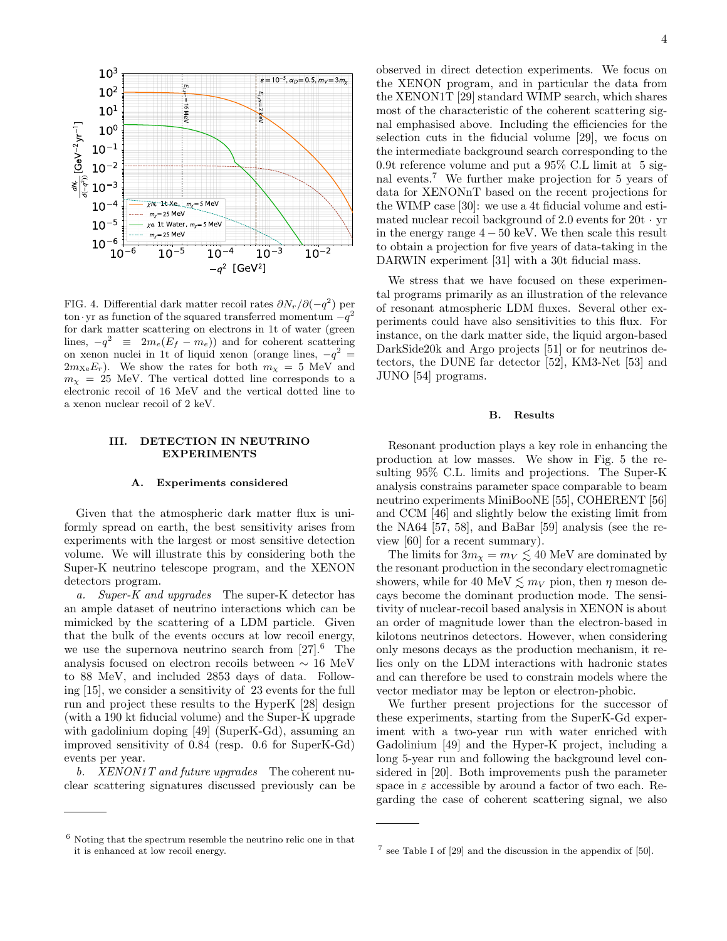

<span id="page-3-0"></span>FIG. 4. Differential dark matter recoil rates  $\partial N_r / \partial (-q^2)$  per ton•yr as function of the squared transferred momentum  $-q^2$ for dark matter scattering on electrons in 1t of water (green lines,  $-q^2 \equiv 2m_e(E_f - m_e)$  and for coherent scattering on xenon nuclei in 1t of liquid xenon (orange lines,  $-q^2 =$  $2m_{\text{Xe}}E_r$ ). We show the rates for both  $m_{\text{X}} = 5$  MeV and  $m<sub>x</sub> = 25$  MeV. The vertical dotted line corresponds to a electronic recoil of 16 MeV and the vertical dotted line to a xenon nuclear recoil of 2 keV.

### III. DETECTION IN NEUTRINO EXPERIMENTS

#### A. Experiments considered

Given that the atmospheric dark matter flux is uniformly spread on earth, the best sensitivity arises from experiments with the largest or most sensitive detection volume. We will illustrate this by considering both the Super-K neutrino telescope program, and the XENON detectors program.

a. Super-K and upgrades The super-K detector has an ample dataset of neutrino interactions which can be mimicked by the scattering of a LDM particle. Given that the bulk of the events occurs at low recoil energy, we use the supernova neutrino search from  $[27]$ .<sup>[6](#page-3-1)</sup> The analysis focused on electron recoils between ∼ 16 MeV to 88 MeV, and included 2853 days of data. Following [\[15\]](#page-5-4), we consider a sensitivity of 23 events for the full run and project these results to the HyperK [\[28\]](#page-5-11) design (with a 190 kt fiducial volume) and the Super-K upgrade with gadolinium doping [\[49\]](#page-6-14) (SuperK-Gd), assuming an improved sensitivity of 0.84 (resp. 0.6 for SuperK-Gd) events per year.

b. XENON1T and future upgrades The coherent nuclear scattering signatures discussed previously can be observed in direct detection experiments. We focus on the XENON program, and in particular the data from the XENON1T [\[29\]](#page-5-12) standard WIMP search, which shares most of the characteristic of the coherent scattering signal emphasised above. Including the efficiencies for the selection cuts in the fiducial volume [\[29\]](#page-5-12), we focus on the intermediate background search corresponding to the 0.9t reference volume and put a 95% C.L limit at 5 signal events.[7](#page-3-2) We further make projection for 5 years of data for XENONnT based on the recent projections for the WIMP case [\[30\]](#page-5-17): we use a 4t fiducial volume and estimated nuclear recoil background of 2.0 events for  $20t \cdot yr$ in the energy range  $4 - 50$  keV. We then scale this result to obtain a projection for five years of data-taking in the DARWIN experiment [\[31\]](#page-5-13) with a 30t fiducial mass.

We stress that we have focused on these experimental programs primarily as an illustration of the relevance of resonant atmospheric LDM fluxes. Several other experiments could have also sensitivities to this flux. For instance, on the dark matter side, the liquid argon-based DarkSide20k and Argo projects [\[51\]](#page-6-15) or for neutrinos detectors, the DUNE far detector [\[52\]](#page-6-16), KM3-Net [\[53\]](#page-6-17) and JUNO [\[54\]](#page-6-18) programs.

#### B. Results

Resonant production plays a key role in enhancing the production at low masses. We show in Fig. [5](#page-4-0) the resulting 95% C.L. limits and projections. The Super-K analysis constrains parameter space comparable to beam neutrino experiments MiniBooNE [\[55\]](#page-6-19), COHERENT [\[56\]](#page-6-20) and CCM [\[46\]](#page-6-10) and slightly below the existing limit from the NA64 [\[57,](#page-6-21) [58\]](#page-6-22), and BaBar [\[59\]](#page-6-23) analysis (see the review [\[60\]](#page-6-24) for a recent summary).

The limits for  $3m_\chi = m_V \lesssim 40$  MeV are dominated by the resonant production in the secondary electromagnetic showers, while for 40 MeV  $\lesssim m_V$  pion, then  $\eta$  meson decays become the dominant production mode. The sensitivity of nuclear-recoil based analysis in XENON is about an order of magnitude lower than the electron-based in kilotons neutrinos detectors. However, when considering only mesons decays as the production mechanism, it relies only on the LDM interactions with hadronic states and can therefore be used to constrain models where the vector mediator may be lepton or electron-phobic.

We further present projections for the successor of these experiments, starting from the SuperK-Gd experiment with a two-year run with water enriched with Gadolinium [\[49\]](#page-6-14) and the Hyper-K project, including a long 5-year run and following the background level considered in [\[20\]](#page-5-18). Both improvements push the parameter space in  $\varepsilon$  accessible by around a factor of two each. Regarding the case of coherent scattering signal, we also

<span id="page-3-1"></span><sup>6</sup> Noting that the spectrum resemble the neutrino relic one in that it is enhanced at low recoil energy.

<span id="page-3-2"></span><sup>7</sup> see Table I of [\[29\]](#page-5-12) and the discussion in the appendix of [\[50\]](#page-6-25).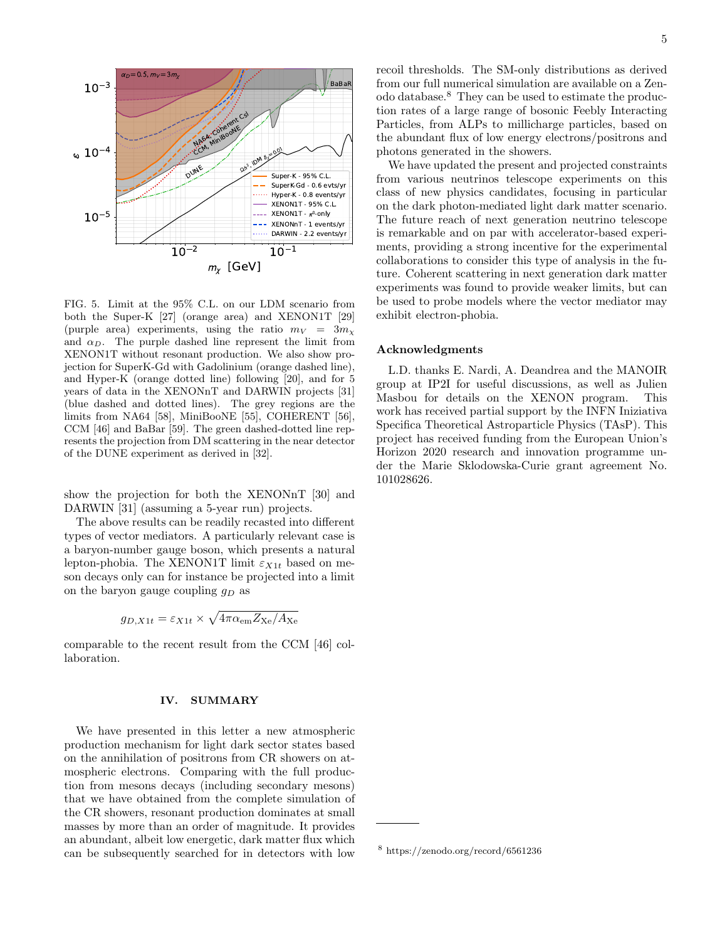

<span id="page-4-0"></span>FIG. 5. Limit at the 95% C.L. on our LDM scenario from both the Super-K [\[27\]](#page-5-10) (orange area) and XENON1T [\[29\]](#page-5-12) (purple area) experiments, using the ratio  $m_V = 3m_V$ and  $\alpha_D$ . The purple dashed line represent the limit from XENON1T without resonant production. We also show projection for SuperK-Gd with Gadolinium (orange dashed line), and Hyper-K (orange dotted line) following [\[20\]](#page-5-18), and for 5 years of data in the XENONnT and DARWIN projects [\[31\]](#page-5-13) (blue dashed and dotted lines). The grey regions are the limits from NA64 [\[58\]](#page-6-22), MiniBooNE [\[55\]](#page-6-19), COHERENT [\[56\]](#page-6-20), CCM [\[46\]](#page-6-10) and BaBar [\[59\]](#page-6-23). The green dashed-dotted line represents the projection from DM scattering in the near detector of the DUNE experiment as derived in [\[32\]](#page-5-14).

show the projection for both the XENONnT [\[30\]](#page-5-17) and DARWIN [\[31\]](#page-5-13) (assuming a 5-year run) projects.

The above results can be readily recasted into different types of vector mediators. A particularly relevant case is a baryon-number gauge boson, which presents a natural lepton-phobia. The XENON1T limit  $\varepsilon_{X1t}$  based on meson decays only can for instance be projected into a limit on the baryon gauge coupling  $q_D$  as

$$
g_{D,X1t} = \varepsilon_{X1t} \times \sqrt{4\pi \alpha_{em} Z_{\text{Xe}} / A_{\text{Xe}}}
$$

comparable to the recent result from the CCM [\[46\]](#page-6-10) collaboration.

## IV. SUMMARY

We have presented in this letter a new atmospheric production mechanism for light dark sector states based on the annihilation of positrons from CR showers on atmospheric electrons. Comparing with the full production from mesons decays (including secondary mesons) that we have obtained from the complete simulation of the CR showers, resonant production dominates at small masses by more than an order of magnitude. It provides an abundant, albeit low energetic, dark matter flux which can be subsequently searched for in detectors with low

recoil thresholds. The SM-only distributions as derived from our full numerical simulation are available on a Zenodo database.[8](#page-4-1) They can be used to estimate the production rates of a large range of bosonic Feebly Interacting Particles, from ALPs to millicharge particles, based on the abundant flux of low energy electrons/positrons and photons generated in the showers.

We have updated the present and projected constraints from various neutrinos telescope experiments on this class of new physics candidates, focusing in particular on the dark photon-mediated light dark matter scenario. The future reach of next generation neutrino telescope is remarkable and on par with accelerator-based experiments, providing a strong incentive for the experimental collaborations to consider this type of analysis in the future. Coherent scattering in next generation dark matter experiments was found to provide weaker limits, but can be used to probe models where the vector mediator may exhibit electron-phobia.

#### Acknowledgments

L.D. thanks E. Nardi, A. Deandrea and the MANOIR group at IP2I for useful discussions, as well as Julien Masbou for details on the XENON program. This work has received partial support by the INFN Iniziativa Specifica Theoretical Astroparticle Physics (TAsP). This project has received funding from the European Union's Horizon 2020 research and innovation programme under the Marie Sklodowska-Curie grant agreement No. 101028626.

<span id="page-4-1"></span><sup>8</sup> https://zenodo.org/record/6561236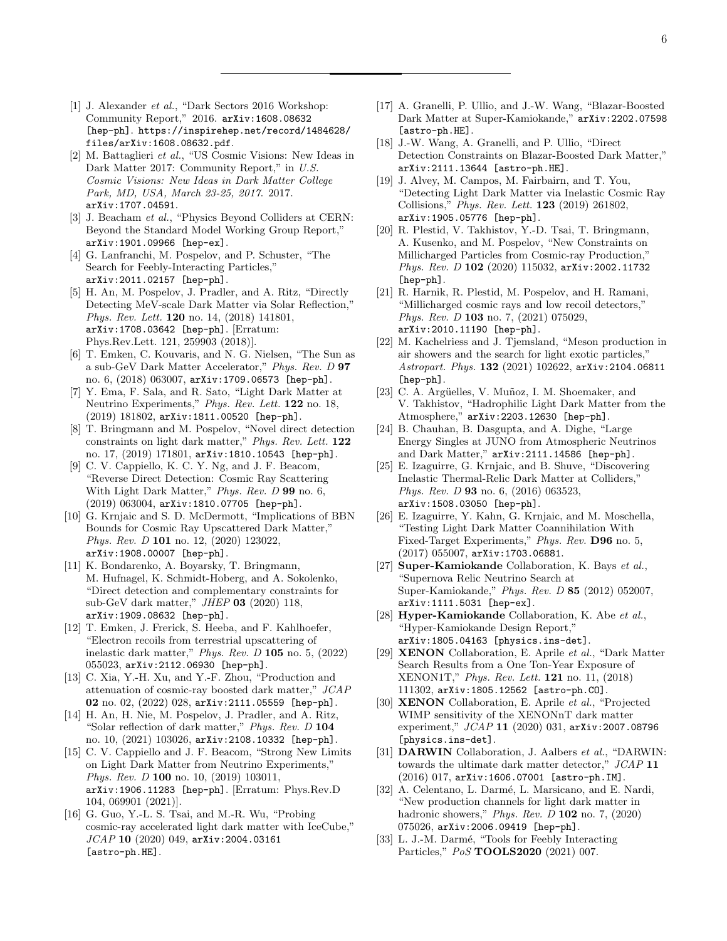- <span id="page-5-0"></span>[1] J. Alexander et al., "Dark Sectors 2016 Workshop: Community Report," 2016. [arXiv:1608.08632](http://arxiv.org/abs/1608.08632) [\[hep-ph\]](http://arxiv.org/abs/1608.08632). [https://inspirehep.net/record/1484628/](https://inspirehep.net/record/1484628/files/arXiv:1608.08632.pdf) [files/arXiv:1608.08632.pdf](https://inspirehep.net/record/1484628/files/arXiv:1608.08632.pdf).
- [2] M. Battaglieri et al., "US Cosmic Visions: New Ideas in Dark Matter 2017: Community Report," in U.S. Cosmic Visions: New Ideas in Dark Matter College Park, MD, USA, March 23-25, 2017. 2017. [arXiv:1707.04591](http://arxiv.org/abs/1707.04591).
- [3] J. Beacham et al., "Physics Beyond Colliders at CERN: Beyond the Standard Model Working Group Report," [arXiv:1901.09966 \[hep-ex\]](http://arxiv.org/abs/1901.09966).
- <span id="page-5-1"></span>[4] G. Lanfranchi, M. Pospelov, and P. Schuster, "The Search for Feebly-Interacting Particles," [arXiv:2011.02157 \[hep-ph\]](http://arxiv.org/abs/2011.02157).
- <span id="page-5-2"></span>[5] H. An, M. Pospelov, J. Pradler, and A. Ritz, "Directly Detecting MeV-scale Dark Matter via Solar Reflection," Phys. Rev. Lett. 120 [no. 14, \(2018\) 141801,](http://dx.doi.org/10.1103/PhysRevLett.120.141801) [arXiv:1708.03642 \[hep-ph\]](http://arxiv.org/abs/1708.03642). [Erratum: Phys.Rev.Lett. 121, 259903 (2018)].
- [6] T. Emken, C. Kouvaris, and N. G. Nielsen, "The Sun as a sub-GeV Dark Matter Accelerator," [Phys. Rev. D](http://dx.doi.org/10.1103/PhysRevD.97.063007) 97 [no. 6, \(2018\) 063007,](http://dx.doi.org/10.1103/PhysRevD.97.063007) [arXiv:1709.06573 \[hep-ph\]](http://arxiv.org/abs/1709.06573).
- [7] Y. Ema, F. Sala, and R. Sato, "Light Dark Matter at Neutrino Experiments," [Phys. Rev. Lett.](http://dx.doi.org/10.1103/PhysRevLett.122.181802) 122 no. 18, [\(2019\) 181802,](http://dx.doi.org/10.1103/PhysRevLett.122.181802) [arXiv:1811.00520 \[hep-ph\]](http://arxiv.org/abs/1811.00520).
- [8] T. Bringmann and M. Pospelov, "Novel direct detection constraints on light dark matter," [Phys. Rev. Lett.](http://dx.doi.org/10.1103/PhysRevLett.122.171801) 122 [no. 17, \(2019\) 171801,](http://dx.doi.org/10.1103/PhysRevLett.122.171801) [arXiv:1810.10543 \[hep-ph\]](http://arxiv.org/abs/1810.10543).
- [9] C. V. Cappiello, K. C. Y. Ng, and J. F. Beacom, "Reverse Direct Detection: Cosmic Ray Scattering With Light Dark Matter," [Phys. Rev. D](http://dx.doi.org/10.1103/PhysRevD.99.063004) 99 no. 6, [\(2019\) 063004,](http://dx.doi.org/10.1103/PhysRevD.99.063004) [arXiv:1810.07705 \[hep-ph\]](http://arxiv.org/abs/1810.07705).
- [10] G. Krnjaic and S. D. McDermott, "Implications of BBN Bounds for Cosmic Ray Upscattered Dark Matter," Phys. Rev. D 101 [no. 12, \(2020\) 123022,](http://dx.doi.org/10.1103/PhysRevD.101.123022) [arXiv:1908.00007 \[hep-ph\]](http://arxiv.org/abs/1908.00007).
- [11] K. Bondarenko, A. Boyarsky, T. Bringmann, M. Hufnagel, K. Schmidt-Hoberg, and A. Sokolenko, "Direct detection and complementary constraints for sub-GeV dark matter," JHEP 03 [\(2020\) 118,](http://dx.doi.org/10.1007/JHEP03(2020)118) [arXiv:1909.08632 \[hep-ph\]](http://arxiv.org/abs/1909.08632).
- [12] T. Emken, J. Frerick, S. Heeba, and F. Kahlhoefer, "Electron recoils from terrestrial upscattering of inelastic dark matter," [Phys. Rev. D](http://dx.doi.org/10.1103/PhysRevD.105.055023) 105 no. 5, (2022) [055023,](http://dx.doi.org/10.1103/PhysRevD.105.055023) [arXiv:2112.06930 \[hep-ph\]](http://arxiv.org/abs/2112.06930).
- [13] C. Xia, Y.-H. Xu, and Y.-F. Zhou, "Production and attenuation of cosmic-ray boosted dark matter," [JCAP](http://dx.doi.org/10.1088/1475-7516/2022/02/028) 02 [no. 02, \(2022\) 028,](http://dx.doi.org/10.1088/1475-7516/2022/02/028) [arXiv:2111.05559 \[hep-ph\]](http://arxiv.org/abs/2111.05559).
- <span id="page-5-3"></span>[14] H. An, H. Nie, M. Pospelov, J. Pradler, and A. Ritz, "Solar reflection of dark matter," [Phys. Rev. D](http://dx.doi.org/10.1103/PhysRevD.104.103026) 104 [no. 10, \(2021\) 103026,](http://dx.doi.org/10.1103/PhysRevD.104.103026) [arXiv:2108.10332 \[hep-ph\]](http://arxiv.org/abs/2108.10332).
- <span id="page-5-4"></span>[15] C. V. Cappiello and J. F. Beacom, "Strong New Limits on Light Dark Matter from Neutrino Experiments," Phys. Rev. D 100 [no. 10, \(2019\) 103011,](http://dx.doi.org/10.1103/PhysRevD.104.069901) [arXiv:1906.11283 \[hep-ph\]](http://arxiv.org/abs/1906.11283). [Erratum: Phys.Rev.D 104, 069901 (2021)].
- [16] G. Guo, Y.-L. S. Tsai, and M.-R. Wu, "Probing cosmic-ray accelerated light dark matter with IceCube,"  $JCAP$  10 [\(2020\) 049,](http://dx.doi.org/10.1088/1475-7516/2020/10/049) [arXiv:2004.03161](http://arxiv.org/abs/2004.03161) [\[astro-ph.HE\]](http://arxiv.org/abs/2004.03161).
- [17] A. Granelli, P. Ullio, and J.-W. Wang, "Blazar-Boosted Dark Matter at Super-Kamiokande," [arXiv:2202.07598](http://arxiv.org/abs/2202.07598) [\[astro-ph.HE\]](http://arxiv.org/abs/2202.07598).
- <span id="page-5-5"></span>[18] J.-W. Wang, A. Granelli, and P. Ullio, "Direct Detection Constraints on Blazar-Boosted Dark Matter," [arXiv:2111.13644 \[astro-ph.HE\]](http://arxiv.org/abs/2111.13644).
- <span id="page-5-6"></span>[19] J. Alvey, M. Campos, M. Fairbairn, and T. You, "Detecting Light Dark Matter via Inelastic Cosmic Ray Collisions," [Phys. Rev. Lett.](http://dx.doi.org/10.1103/PhysRevLett.123.261802) 123 (2019) 261802, [arXiv:1905.05776 \[hep-ph\]](http://arxiv.org/abs/1905.05776).
- <span id="page-5-18"></span>[20] R. Plestid, V. Takhistov, Y.-D. Tsai, T. Bringmann, A. Kusenko, and M. Pospelov, "New Constraints on Millicharged Particles from Cosmic-ray Production," Phys. Rev. D 102 [\(2020\) 115032,](http://dx.doi.org/10.1103/PhysRevD.102.115032) [arXiv:2002.11732](http://arxiv.org/abs/2002.11732) [\[hep-ph\]](http://arxiv.org/abs/2002.11732).
- [21] R. Harnik, R. Plestid, M. Pospelov, and H. Ramani, "Millicharged cosmic rays and low recoil detectors," Phys. Rev. D 103 [no. 7, \(2021\) 075029,](http://dx.doi.org/10.1103/PhysRevD.103.075029) [arXiv:2010.11190 \[hep-ph\]](http://arxiv.org/abs/2010.11190).
- <span id="page-5-16"></span>[22] M. Kachelriess and J. Tjemsland, "Meson production in air showers and the search for light exotic particles," [Astropart. Phys.](http://dx.doi.org/10.1016/j.astropartphys.2021.102622) 132 (2021) 102622, [arXiv:2104.06811](http://arxiv.org/abs/2104.06811) [\[hep-ph\]](http://arxiv.org/abs/2104.06811).
- [23] C. A. Argüelles, V. Muñoz, I. M. Shoemaker, and V. Takhistov, "Hadrophilic Light Dark Matter from the Atmosphere," [arXiv:2203.12630 \[hep-ph\]](http://arxiv.org/abs/2203.12630).
- <span id="page-5-7"></span>[24] B. Chauhan, B. Dasgupta, and A. Dighe, "Large Energy Singles at JUNO from Atmospheric Neutrinos and Dark Matter," [arXiv:2111.14586 \[hep-ph\]](http://arxiv.org/abs/2111.14586).
- <span id="page-5-8"></span>[25] E. Izaguirre, G. Krnjaic, and B. Shuve, "Discovering Inelastic Thermal-Relic Dark Matter at Colliders," Phys. Rev. D **93** [no. 6, \(2016\) 063523,](http://dx.doi.org/10.1103/PhysRevD.93.063523) [arXiv:1508.03050 \[hep-ph\]](http://arxiv.org/abs/1508.03050).
- <span id="page-5-9"></span>[26] E. Izaguirre, Y. Kahn, G. Krnjaic, and M. Moschella, "Testing Light Dark Matter Coannihilation With Fixed-Target Experiments," [Phys. Rev.](http://dx.doi.org/10.1103/PhysRevD.96.055007) D96 no. 5, [\(2017\) 055007,](http://dx.doi.org/10.1103/PhysRevD.96.055007) [arXiv:1703.06881](http://arxiv.org/abs/1703.06881).
- <span id="page-5-10"></span>[27] Super-Kamiokande Collaboration, K. Bays et al., "Supernova Relic Neutrino Search at Super-Kamiokande," Phys. Rev. D 85 [\(2012\) 052007,](http://dx.doi.org/10.1103/PhysRevD.85.052007) [arXiv:1111.5031 \[hep-ex\]](http://arxiv.org/abs/1111.5031).
- <span id="page-5-11"></span>[28] Hyper-Kamiokande Collaboration, K. Abe et al., "Hyper-Kamiokande Design Report," [arXiv:1805.04163 \[physics.ins-det\]](http://arxiv.org/abs/1805.04163).
- <span id="page-5-12"></span>[29] XENON Collaboration, E. Aprile et al., "Dark Matter Search Results from a One Ton-Year Exposure of XENON1T," [Phys. Rev. Lett.](http://dx.doi.org/10.1103/PhysRevLett.121.111302) 121 no. 11, (2018) [111302,](http://dx.doi.org/10.1103/PhysRevLett.121.111302) [arXiv:1805.12562 \[astro-ph.CO\]](http://arxiv.org/abs/1805.12562).
- <span id="page-5-17"></span>[30] XENON Collaboration, E. Aprile et al., "Projected WIMP sensitivity of the XENONnT dark matter experiment," JCAP 11 [\(2020\) 031,](http://dx.doi.org/10.1088/1475-7516/2020/11/031) [arXiv:2007.08796](http://arxiv.org/abs/2007.08796) [\[physics.ins-det\]](http://arxiv.org/abs/2007.08796).
- <span id="page-5-13"></span>[31] **DARWIN** Collaboration, J. Aalbers et al., "DARWIN: towards the ultimate dark matter detector," [JCAP](http://dx.doi.org/10.1088/1475-7516/2016/11/017) 11 [\(2016\) 017,](http://dx.doi.org/10.1088/1475-7516/2016/11/017) [arXiv:1606.07001 \[astro-ph.IM\]](http://arxiv.org/abs/1606.07001).
- <span id="page-5-14"></span>[32] A. Celentano, L. Darmé, L. Marsicano, and E. Nardi, "New production channels for light dark matter in hadronic showers," Phys. Rev.  $D$  102 no. 7, (2020) [075026,](http://dx.doi.org/10.1103/PhysRevD.102.075026) [arXiv:2006.09419 \[hep-ph\]](http://arxiv.org/abs/2006.09419).
- <span id="page-5-15"></span>[33] L. J.-M. Darmé, "Tools for Feebly Interacting Particles," PoS [TOOLS2020](http://dx.doi.org/10.22323/1.392.0007) (2021) 007.